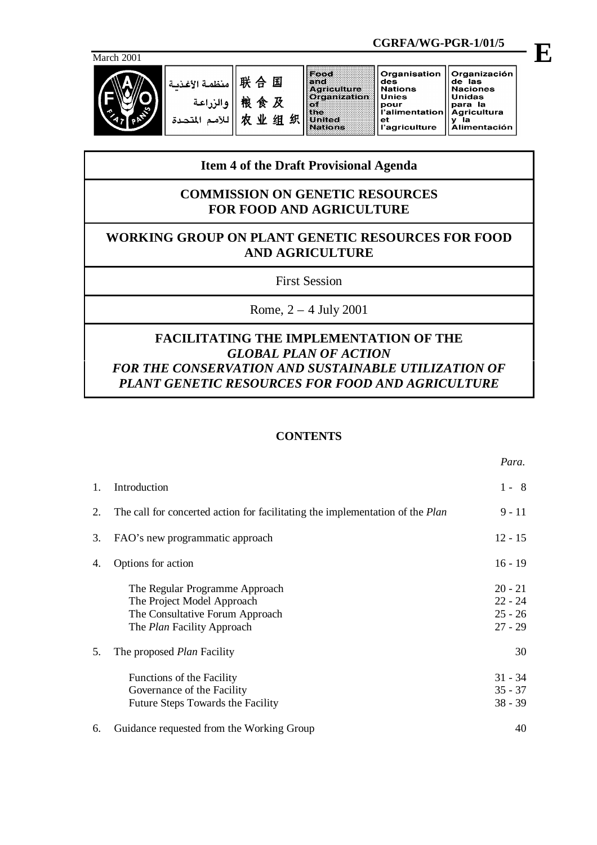

|            |                                            |                                 |        | CGRFA/WG-PGR-1/01/5                                                                                               |                                                                                                        |                                                                                                                    |  |
|------------|--------------------------------------------|---------------------------------|--------|-------------------------------------------------------------------------------------------------------------------|--------------------------------------------------------------------------------------------------------|--------------------------------------------------------------------------------------------------------------------|--|
| March 2001 |                                            |                                 |        |                                                                                                                   |                                                                                                        |                                                                                                                    |  |
|            | منظمة الأغذسة<br>والزراعة<br>للأمم المتحدة | 联合国<br>粮食及<br>$\mathbf{W}$<br>出 | 织<br>组 | Food<br>e nd:<br><b>Agriculture</b><br>Organization<br>: OXF<br>l the i<br>a a desta contra con<br><b>Nations</b> | Organisation<br>des<br><b>Nations</b><br><b>Unies</b><br>pour<br>l'alimentation<br>еt<br>l'agriculture | Organización<br>de las<br><b>Naciones</b><br><b>Unidas</b><br>para la<br><b>Agricultura</b><br><b>Alimentación</b> |  |

# **Item 4 of the Draft Provisional Agenda**

## **COMMISSION ON GENETIC RESOURCES FOR FOOD AND AGRICULTURE**

# **WORKING GROUP ON PLANT GENETIC RESOURCES FOR FOOD AND AGRICULTURE**

First Session

Rome, 2 – 4 July 2001

## **FACILITATING THE IMPLEMENTATION OF THE** *GLOBAL PLAN OF ACTION FOR THE CONSERVATION AND SUSTAINABLE UTILIZATION OF PLANT GENETIC RESOURCES FOR FOOD AND AGRICULTURE*

## **CONTENTS**

| 1. | Introduction                                                                                                                         | $1 - 8$                                          |
|----|--------------------------------------------------------------------------------------------------------------------------------------|--------------------------------------------------|
| 2. | The call for concerted action for facilitating the implementation of the <i>Plan</i>                                                 | 9 - 11                                           |
| 3. | FAO's new programmatic approach                                                                                                      | $12 - 15$                                        |
| 4. | Options for action                                                                                                                   | $16 - 19$                                        |
|    | The Regular Programme Approach<br>The Project Model Approach<br>The Consultative Forum Approach<br>The <i>Plan</i> Facility Approach | $20 - 21$<br>$22 - 24$<br>$25 - 26$<br>$27 - 29$ |
| 5. | The proposed <i>Plan</i> Facility                                                                                                    | 30                                               |
|    | Functions of the Facility<br>Governance of the Facility<br>Future Steps Towards the Facility                                         | $31 - 34$<br>$35 - 37$<br>$38 - 39$              |
| 6. | Guidance requested from the Working Group                                                                                            | 40                                               |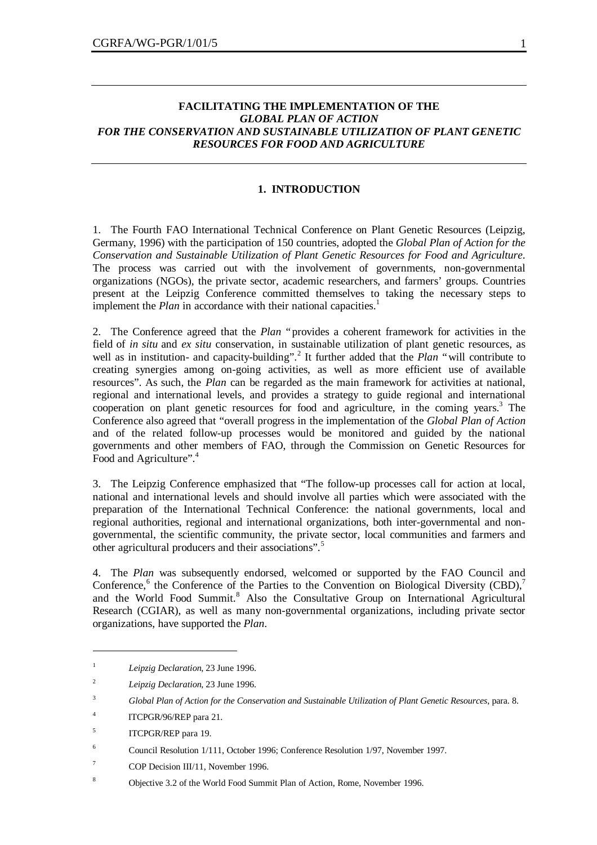## **FACILITATING THE IMPLEMENTATION OF THE** *GLOBAL PLAN OF ACTION FOR THE CONSERVATION AND SUSTAINABLE UTILIZATION OF PLANT GENETIC RESOURCES FOR FOOD AND AGRICULTURE*

#### **1. INTRODUCTION**

1. The Fourth FAO International Technical Conference on Plant Genetic Resources (Leipzig, Germany, 1996) with the participation of 150 countries, adopted the *Global Plan of Action for the Conservation and Sustainable Utilization of Plant Genetic Resources for Food and Agriculture*. The process was carried out with the involvement of governments, non-governmental organizations (NGOs), the private sector, academic researchers, and farmers' groups. Countries present at the Leipzig Conference committed themselves to taking the necessary steps to implement the *Plan* in accordance with their national capacities.<sup>1</sup>

2. The Conference agreed that the *Plan* "provides a coherent framework for activities in the field of *in situ* and *ex situ* conservation, in sustainable utilization of plant genetic resources, as well as in institution- and capacity-building".<sup>2</sup> It further added that the *Plan* "will contribute to creating synergies among on-going activities, as well as more efficient use of available resources". As such, the *Plan* can be regarded as the main framework for activities at national, regional and international levels, and provides a strategy to guide regional and international cooperation on plant genetic resources for food and agriculture, in the coming years.<sup>3</sup> The Conference also agreed that "overall progress in the implementation of the *Global Plan of Action* and of the related follow-up processes would be monitored and guided by the national governments and other members of FAO, through the Commission on Genetic Resources for Food and Agriculture".<sup>4</sup>

3. The Leipzig Conference emphasized that "The follow-up processes call for action at local, national and international levels and should involve all parties which were associated with the preparation of the International Technical Conference: the national governments, local and regional authorities, regional and international organizations, both inter-governmental and nongovernmental, the scientific community, the private sector, local communities and farmers and other agricultural producers and their associations".<sup>5</sup>

4. The *Plan* was subsequently endorsed, welcomed or supported by the FAO Council and Conference,<sup>6</sup> the Conference of the Parties to the Convention on Biological Diversity (CBD),<sup>7</sup> and the World Food Summit.<sup>8</sup> Also the Consultative Group on International Agricultural Research (CGIAR), as well as many non-governmental organizations, including private sector organizations, have supported the *Plan*.

<sup>1</sup> *Leipzig Declaration*, 23 June 1996.

<sup>2</sup> *Leipzig Declaration*, 23 June 1996.

<sup>3</sup> *Global Plan of Action for the Conservation and Sustainable Utilization of Plant Genetic Resources*, para. 8.

<sup>4</sup> ITCPGR/96/REP para 21.

<sup>5</sup> ITCPGR/REP para 19.

<sup>6</sup> Council Resolution 1/111, October 1996; Conference Resolution 1/97, November 1997.

<sup>7</sup> COP Decision III/11, November 1996.

<sup>8</sup> Objective 3.2 of the World Food Summit Plan of Action, Rome, November 1996.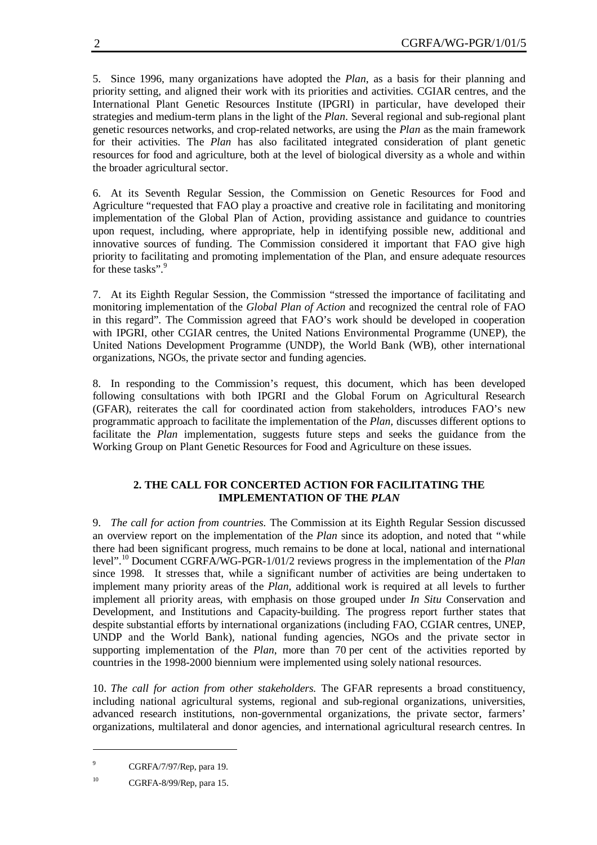5. Since 1996, many organizations have adopted the *Plan*, as a basis for their planning and priority setting, and aligned their work with its priorities and activities. CGIAR centres, and the International Plant Genetic Resources Institute (IPGRI) in particular, have developed their strategies and medium-term plans in the light of the *Plan*. Several regional and sub-regional plant genetic resources networks, and crop-related networks, are using the *Plan* as the main framework for their activities. The *Plan* has also facilitated integrated consideration of plant genetic resources for food and agriculture, both at the level of biological diversity as a whole and within the broader agricultural sector.

6. At its Seventh Regular Session, the Commission on Genetic Resources for Food and Agriculture "requested that FAO play a proactive and creative role in facilitating and monitoring implementation of the Global Plan of Action, providing assistance and guidance to countries upon request, including, where appropriate, help in identifying possible new, additional and innovative sources of funding. The Commission considered it important that FAO give high priority to facilitating and promoting implementation of the Plan, and ensure adequate resources for these tasks".<sup>9</sup>

7. At its Eighth Regular Session, the Commission "stressed the importance of facilitating and monitoring implementation of the *Global Plan of Action* and recognized the central role of FAO in this regard". The Commission agreed that FAO's work should be developed in cooperation with IPGRI, other CGIAR centres, the United Nations Environmental Programme (UNEP), the United Nations Development Programme (UNDP), the World Bank (WB), other international organizations, NGOs, the private sector and funding agencies.

8. In responding to the Commission's request, this document, which has been developed following consultations with both IPGRI and the Global Forum on Agricultural Research (GFAR), reiterates the call for coordinated action from stakeholders, introduces FAO's new programmatic approach to facilitate the implementation of the *Plan,* discusses different options to facilitate the *Plan* implementation, suggests future steps and seeks the guidance from the Working Group on Plant Genetic Resources for Food and Agriculture on these issues.

## **2. THE CALL FOR CONCERTED ACTION FOR FACILITATING THE IMPLEMENTATION OF THE** *PLAN*

9. *The call for action from countries.* The Commission at its Eighth Regular Session discussed an overview report on the implementation of the *Plan* since its adoption, and noted that "while there had been significant progress, much remains to be done at local, national and international level". <sup>10</sup> Document CGRFA/WG-PGR-1/01/2 reviews progress in the implementation of the *Plan* since 1998. It stresses that, while a significant number of activities are being undertaken to implement many priority areas of the *Plan,* additional work is required at all levels to further implement all priority areas, with emphasis on those grouped under *In Situ* Conservation and Development, and Institutions and Capacity-building. The progress report further states that despite substantial efforts by international organizations (including FAO, CGIAR centres, UNEP, UNDP and the World Bank), national funding agencies, NGOs and the private sector in supporting implementation of the *Plan*, more than 70 per cent of the activities reported by countries in the 1998-2000 biennium were implemented using solely national resources.

10. *The call for action from other stakeholders.* The GFAR represents a broad constituency, including national agricultural systems, regional and sub-regional organizations, universities, advanced research institutions, non-governmental organizations, the private sector, farmers' organizations, multilateral and donor agencies, and international agricultural research centres. In

<sup>9</sup> CGRFA/7/97/Rep, para 19.

<sup>10</sup> CGRFA-8/99/Rep, para 15.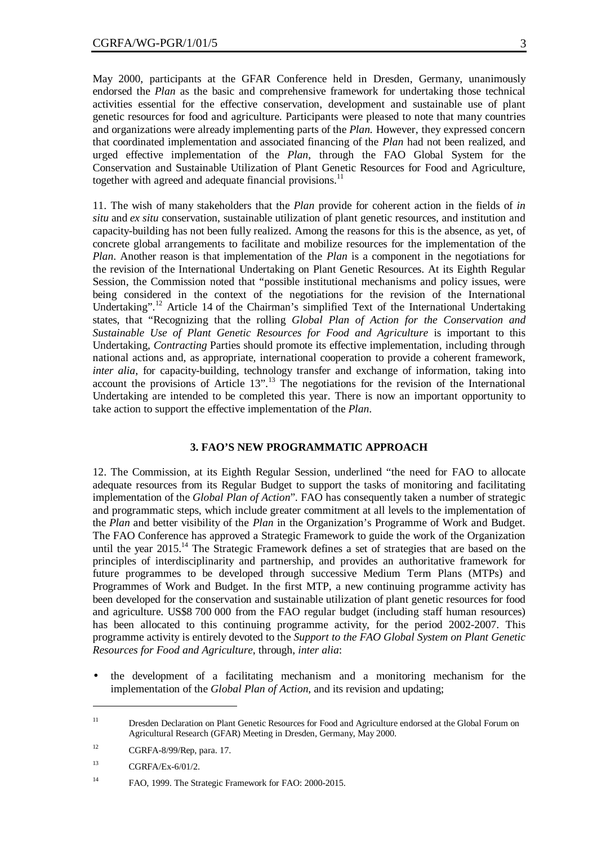May 2000, participants at the GFAR Conference held in Dresden, Germany, unanimously endorsed the *Plan* as the basic and comprehensive framework for undertaking those technical activities essential for the effective conservation, development and sustainable use of plant genetic resources for food and agriculture. Participants were pleased to note that many countries and organizations were already implementing parts of the *Plan.* However, they expressed concern that coordinated implementation and associated financing of the *Plan* had not been realized, and urged effective implementation of the *Plan*, through the FAO Global System for the Conservation and Sustainable Utilization of Plant Genetic Resources for Food and Agriculture, together with agreed and adequate financial provisions.<sup>11</sup>

11. The wish of many stakeholders that the *Plan* provide for coherent action in the fields of *in situ* and *ex situ* conservation, sustainable utilization of plant genetic resources, and institution and capacity-building has not been fully realized. Among the reasons for this is the absence, as yet, of concrete global arrangements to facilitate and mobilize resources for the implementation of the *Plan*. Another reason is that implementation of the *Plan* is a component in the negotiations for the revision of the International Undertaking on Plant Genetic Resources. At its Eighth Regular Session, the Commission noted that "possible institutional mechanisms and policy issues, were being considered in the context of the negotiations for the revision of the International Undertaking".<sup>12</sup> Article 14 of the Chairman's simplified Text of the International Undertaking states, that "Recognizing that the rolling *Global Plan of Action for the Conservation and Sustainable Use of Plant Genetic Resources for Food and Agriculture* is important to this Undertaking, *Contracting* Parties should promote its effective implementation, including through national actions and, as appropriate, international cooperation to provide a coherent framework, *inter alia*, for capacity-building, technology transfer and exchange of information, taking into account the provisions of Article 13".<sup>13</sup> The negotiations for the revision of the International Undertaking are intended to be completed this year. There is now an important opportunity to take action to support the effective implementation of the *Plan*.

#### **3. FAO'S NEW PROGRAMMATIC APPROACH**

12. The Commission, at its Eighth Regular Session, underlined "the need for FAO to allocate adequate resources from its Regular Budget to support the tasks of monitoring and facilitating implementation of the *Global Plan of Action*". FAO has consequently taken a number of strategic and programmatic steps, which include greater commitment at all levels to the implementation of the *Plan* and better visibility of the *Plan* in the Organization's Programme of Work and Budget. The FAO Conference has approved a Strategic Framework to guide the work of the Organization until the year  $2015$ .<sup>14</sup> The Strategic Framework defines a set of strategies that are based on the principles of interdisciplinarity and partnership, and provides an authoritative framework for future programmes to be developed through successive Medium Term Plans (MTPs) and Programmes of Work and Budget. In the first MTP, a new continuing programme activity has been developed for the conservation and sustainable utilization of plant genetic resources for food and agriculture. US\$8 700 000 from the FAO regular budget (including staff human resources) has been allocated to this continuing programme activity, for the period 2002-2007. This programme activity is entirely devoted to the *Support to the FAO Global System on Plant Genetic Resources for Food and Agriculture*, through, *inter alia*:

• the development of a facilitating mechanism and a monitoring mechanism for the implementation of the *Global Plan of Action*, and its revision and updating;

<sup>&</sup>lt;sup>11</sup> Dresden Declaration on Plant Genetic Resources for Food and Agriculture endorsed at the Global Forum on Agricultural Research (GFAR) Meeting in Dresden, Germany, May 2000.

<sup>12</sup> CGRFA-8/99/Rep, para. 17.

 $13$  CGRFA/Ex-6/01/2.

<sup>14</sup> FAO, 1999. The Strategic Framework for FAO: 2000-2015.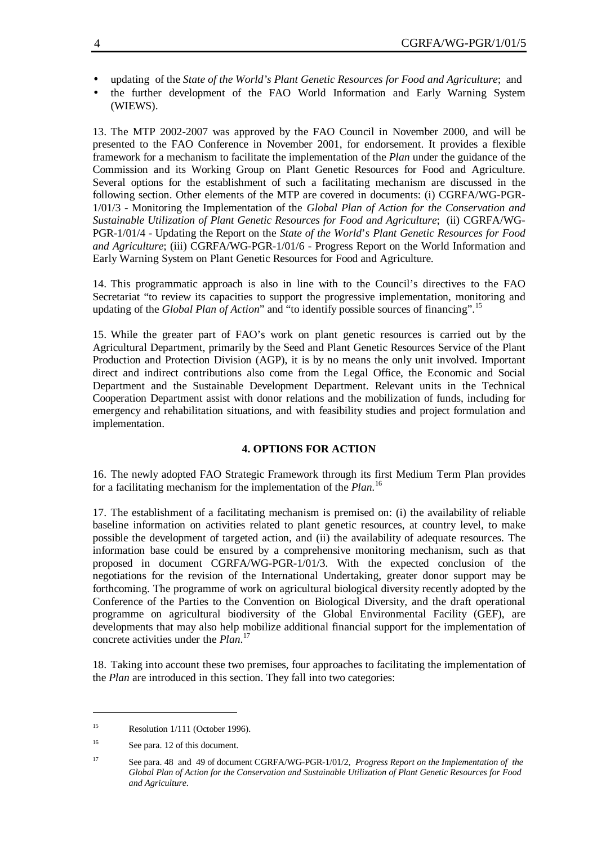- updating of the *State of the World's Plant Genetic Resources for Food and Agriculture*; and
- the further development of the FAO World Information and Early Warning System (WIEWS).

13. The MTP 2002-2007 was approved by the FAO Council in November 2000, and will be presented to the FAO Conference in November 2001, for endorsement. It provides a flexible framework for a mechanism to facilitate the implementation of the *Plan* under the guidance of the Commission and its Working Group on Plant Genetic Resources for Food and Agriculture. Several options for the establishment of such a facilitating mechanism are discussed in the following section. Other elements of the MTP are covered in documents: (i) CGRFA/WG-PGR-1/01/3 - Monitoring the Implementation of the *Global Plan of Action for the Conservation and Sustainable Utilization of Plant Genetic Resources for Food and Agriculture*; (ii) CGRFA/WG-PGR-1/01/4 - Updating the Report on the *State of the World*'*s Plant Genetic Resources for Food and Agriculture*; (iii) CGRFA/WG-PGR-1/01/6 - Progress Report on the World Information and Early Warning System on Plant Genetic Resources for Food and Agriculture.

14. This programmatic approach is also in line with to the Council's directives to the FAO Secretariat "to review its capacities to support the progressive implementation, monitoring and updating of the *Global Plan of Action*" and "to identify possible sources of financing".<sup>15</sup>

15. While the greater part of FAO's work on plant genetic resources is carried out by the Agricultural Department, primarily by the Seed and Plant Genetic Resources Service of the Plant Production and Protection Division (AGP), it is by no means the only unit involved. Important direct and indirect contributions also come from the Legal Office, the Economic and Social Department and the Sustainable Development Department. Relevant units in the Technical Cooperation Department assist with donor relations and the mobilization of funds, including for emergency and rehabilitation situations, and with feasibility studies and project formulation and implementation.

### **4. OPTIONS FOR ACTION**

16. The newly adopted FAO Strategic Framework through its first Medium Term Plan provides for a facilitating mechanism for the implementation of the *Plan.*<sup>16</sup>

17. The establishment of a facilitating mechanism is premised on: (i) the availability of reliable baseline information on activities related to plant genetic resources, at country level, to make possible the development of targeted action, and (ii) the availability of adequate resources. The information base could be ensured by a comprehensive monitoring mechanism, such as that proposed in document CGRFA/WG-PGR-1/01/3. With the expected conclusion of the negotiations for the revision of the International Undertaking, greater donor support may be forthcoming. The programme of work on agricultural biological diversity recently adopted by the Conference of the Parties to the Convention on Biological Diversity, and the draft operational programme on agricultural biodiversity of the Global Environmental Facility (GEF), are developments that may also help mobilize additional financial support for the implementation of concrete activities under the *Plan*. 17

18. Taking into account these two premises, four approaches to facilitating the implementation of the *Plan* are introduced in this section. They fall into two categories:

<sup>&</sup>lt;sup>15</sup> Resolution  $1/111$  (October 1996).

<sup>&</sup>lt;sup>16</sup> See para. 12 of this document.

<sup>17</sup> See para. 48 and 49 of document CGRFA/WG-PGR-1/01/2, *Progress Report on the Implementation of the Global Plan of Action for the Conservation and Sustainable Utilization of Plant Genetic Resources for Food and Agriculture*.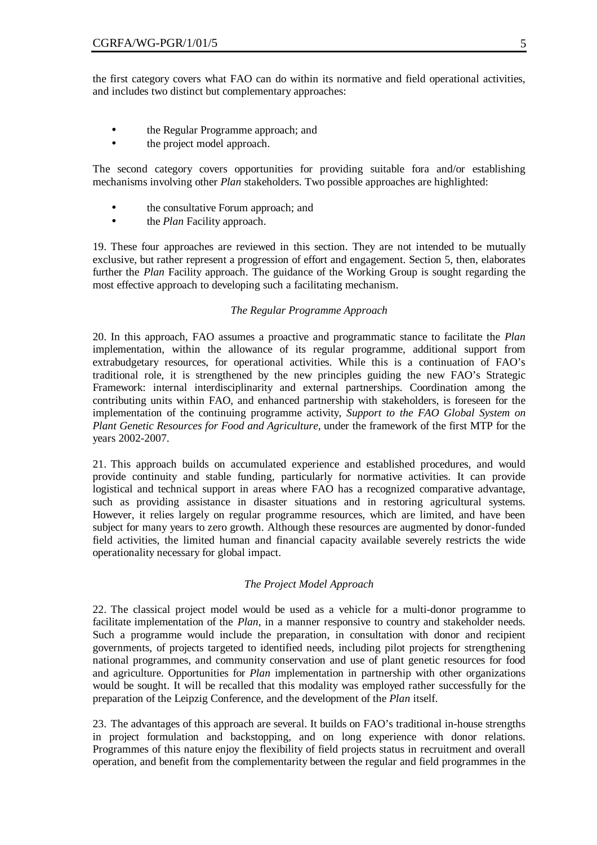the first category covers what FAO can do within its normative and field operational activities, and includes two distinct but complementary approaches:

- the Regular Programme approach; and
- the project model approach.

The second category covers opportunities for providing suitable fora and/or establishing mechanisms involving other *Plan* stakeholders. Two possible approaches are highlighted:

- the consultative Forum approach; and
- the *Plan* Facility approach.

19. These four approaches are reviewed in this section. They are not intended to be mutually exclusive, but rather represent a progression of effort and engagement. Section 5, then, elaborates further the *Plan* Facility approach. The guidance of the Working Group is sought regarding the most effective approach to developing such a facilitating mechanism.

#### *The Regular Programme Approach*

20. In this approach, FAO assumes a proactive and programmatic stance to facilitate the *Plan* implementation, within the allowance of its regular programme, additional support from extrabudgetary resources, for operational activities. While this is a continuation of FAO's traditional role, it is strengthened by the new principles guiding the new FAO's Strategic Framework: internal interdisciplinarity and external partnerships. Coordination among the contributing units within FAO, and enhanced partnership with stakeholders, is foreseen for the implementation of the continuing programme activity, *Support to the FAO Global System on Plant Genetic Resources for Food and Agriculture*, under the framework of the first MTP for the years 2002-2007.

21. This approach builds on accumulated experience and established procedures, and would provide continuity and stable funding, particularly for normative activities. It can provide logistical and technical support in areas where FAO has a recognized comparative advantage, such as providing assistance in disaster situations and in restoring agricultural systems. However, it relies largely on regular programme resources, which are limited, and have been subject for many years to zero growth. Although these resources are augmented by donor-funded field activities, the limited human and financial capacity available severely restricts the wide operationality necessary for global impact.

#### *The Project Model Approach*

22. The classical project model would be used as a vehicle for a multi-donor programme to facilitate implementation of the *Plan*, in a manner responsive to country and stakeholder needs. Such a programme would include the preparation, in consultation with donor and recipient governments, of projects targeted to identified needs, including pilot projects for strengthening national programmes, and community conservation and use of plant genetic resources for food and agriculture. Opportunities for *Plan* implementation in partnership with other organizations would be sought. It will be recalled that this modality was employed rather successfully for the preparation of the Leipzig Conference, and the development of the *Plan* itself.

23. The advantages of this approach are several. It builds on FAO's traditional in-house strengths in project formulation and backstopping, and on long experience with donor relations. Programmes of this nature enjoy the flexibility of field projects status in recruitment and overall operation, and benefit from the complementarity between the regular and field programmes in the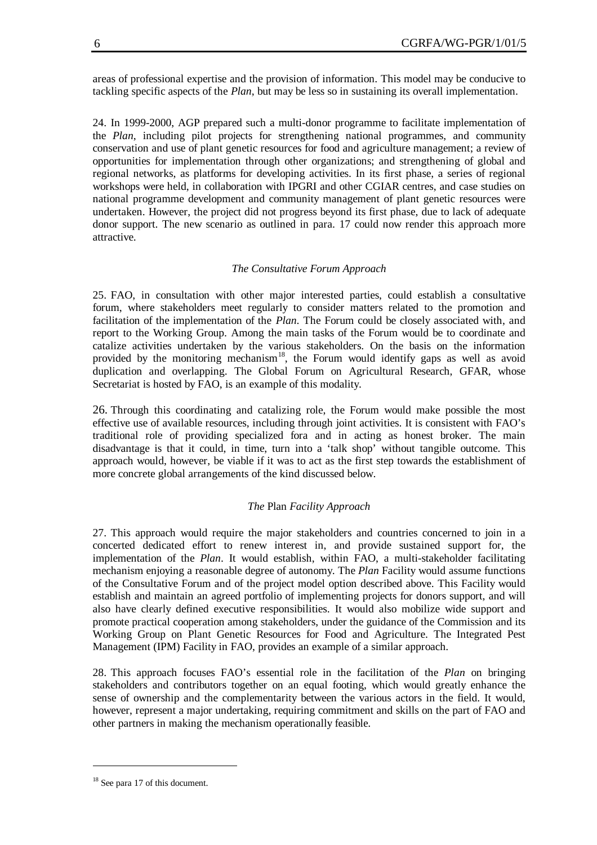areas of professional expertise and the provision of information. This model may be conducive to tackling specific aspects of the *Plan*, but may be less so in sustaining its overall implementation.

24. In 1999-2000, AGP prepared such a multi-donor programme to facilitate implementation of the *Plan*, including pilot projects for strengthening national programmes, and community conservation and use of plant genetic resources for food and agriculture management; a review of opportunities for implementation through other organizations; and strengthening of global and regional networks, as platforms for developing activities. In its first phase, a series of regional workshops were held, in collaboration with IPGRI and other CGIAR centres, and case studies on national programme development and community management of plant genetic resources were undertaken. However, the project did not progress beyond its first phase, due to lack of adequate donor support. The new scenario as outlined in para. 17 could now render this approach more attractive.

#### *The Consultative Forum Approach*

25. FAO, in consultation with other major interested parties, could establish a consultative forum, where stakeholders meet regularly to consider matters related to the promotion and facilitation of the implementation of the *Plan*. The Forum could be closely associated with, and report to the Working Group. Among the main tasks of the Forum would be to coordinate and catalize activities undertaken by the various stakeholders. On the basis on the information provided by the monitoring mechanism<sup>18</sup>, the Forum would identify gaps as well as avoid duplication and overlapping. The Global Forum on Agricultural Research, GFAR, whose Secretariat is hosted by FAO, is an example of this modality.

26. Through this coordinating and catalizing role, the Forum would make possible the most effective use of available resources, including through joint activities. It is consistent with FAO's traditional role of providing specialized fora and in acting as honest broker. The main disadvantage is that it could, in time, turn into a 'talk shop' without tangible outcome. This approach would, however, be viable if it was to act as the first step towards the establishment of more concrete global arrangements of the kind discussed below.

#### *The* Plan *Facility Approach*

27. This approach would require the major stakeholders and countries concerned to join in a concerted dedicated effort to renew interest in, and provide sustained support for, the implementation of the *Plan*. It would establish, within FAO, a multi-stakeholder facilitating mechanism enjoying a reasonable degree of autonomy. The *Plan* Facility would assume functions of the Consultative Forum and of the project model option described above. This Facility would establish and maintain an agreed portfolio of implementing projects for donors support, and will also have clearly defined executive responsibilities. It would also mobilize wide support and promote practical cooperation among stakeholders, under the guidance of the Commission and its Working Group on Plant Genetic Resources for Food and Agriculture. The Integrated Pest Management (IPM) Facility in FAO, provides an example of a similar approach.

28. This approach focuses FAO's essential role in the facilitation of the *Plan* on bringing stakeholders and contributors together on an equal footing, which would greatly enhance the sense of ownership and the complementarity between the various actors in the field. It would, however, represent a major undertaking, requiring commitment and skills on the part of FAO and other partners in making the mechanism operationally feasible.

<sup>&</sup>lt;sup>18</sup> See para 17 of this document.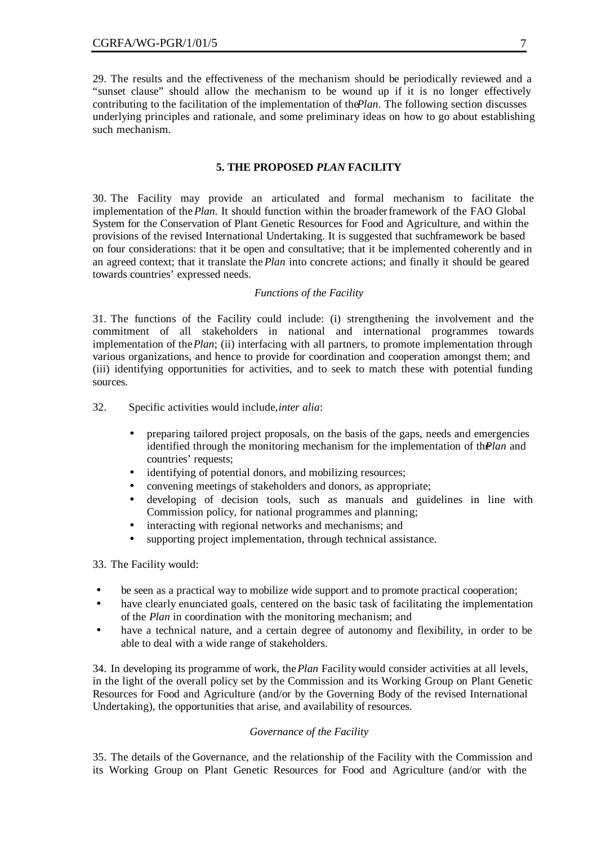29. The results and the effectiveness of the mechanism should be periodically reviewed and a "sunset clause" should allow the mechanism to be wound up if it is no longer effectively contributing to the facilitation of the implementation of the *Plan*. The following section discusses underlying principles and rationale, and some preliminary ideas on how to go about establishing such mechanism.

#### **5. THE PROPOSED** *PLAN* **FACILITY**

30. The Facility may provide an articulated and formal mechanism to facilitate the implementation of the *Plan.* It should function within the broader framework of the FAO Global System for the Conservation of Plant Genetic Resources for Food and Agriculture, and within the provisions of the revised International Undertaking. It is suggested that such framework be based on four considerations: that it be open and consultative; that it be implemented coherently and in an agreed context; that it translate the *Plan* into concrete actions; and finally it should be geared towards countries' expressed needs.

#### *Functions of the Facility*

31. The functions of the Facility could include: (i) strengthening the involvement and the commitment of all stakeholders in national and international programmes towards implementation of the *Plan*; (ii) interfacing with all partners, to promote implementation through various organizations, and hence to provide for coordination and cooperation amongst them; and (iii) identifying opportunities for activities, and to seek to match these with potential funding sources.

32. Specific activities would include, *inter alia*:

- preparing tailored project proposals, on the basis of the gaps, needs and emergencies identified through the monitoring mechanism for the implementation of the *Plan* and countries' requests;
- identifying of potential donors, and mobilizing resources;
- convening meetings of stakeholders and donors, as appropriate;
- developing of decision tools, such as manuals and guidelines in line with Commission policy, for national programmes and planning;
- interacting with regional networks and mechanisms; and
- supporting project implementation, through technical assistance.

33. The Facility would:

- be seen as a practical way to mobilize wide support and to promote practical cooperation;
- have clearly enunciated goals, centered on the basic task of facilitating the implementation of the *Plan* in coordination with the monitoring mechanism; and
- have a technical nature, and a certain degree of autonomy and flexibility, in order to be able to deal with a wide range of stakeholders.

34. In developing its programme of work, the *Plan* Facility would consider activities at all levels, in the light of the overall policy set by the Commission and its Working Group on Plant Genetic Resources for Food and Agriculture (and/or by the Governing Body of the revised International Undertaking), the opportunities that arise, and availability of resources.

### *Governance of the Facility*

35. The details of the Governance, and the relationship of the Facility with the Commission and its Working Group on Plant Genetic Resources for Food and Agriculture (and/or with the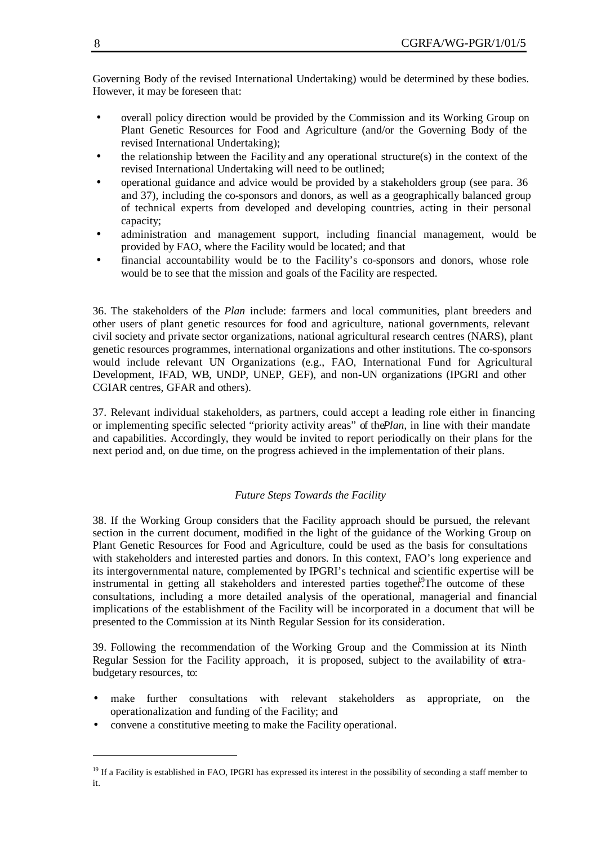Governing Body of the revised International Undertaking) would be determined by these bodies. However, it may be foreseen that:

- overall policy direction would be provided by the Commission and its Working Group on Plant Genetic Resources for Food and Agriculture (and/or the Governing Body of the revised International Undertaking);
- the relationship between the Facility and any operational structure(s) in the context of the revised International Undertaking will need to be outlined;
- operational guidance and advice would be provided by a stakeholders group (see para. 36 and 37), including the co-sponsors and donors, as well as a geographically balanced group of technical experts from developed and developing countries, acting in their personal capacity;
- administration and management support, including financial management, would be provided by FAO, where the Facility would be located; and that
- financial accountability would be to the Facility's co-sponsors and donors, whose role would be to see that the mission and goals of the Facility are respected.

36. The stakeholders of the *Plan* include: farmers and local communities, plant breeders and other users of plant genetic resources for food and agriculture, national governments, relevant civil society and private sector organizations, national agricultural research centres (NARS), plant genetic resources programmes, international organizations and other institutions. The co-sponsors would include relevant UN Organizations (e.g., FAO, International Fund for Agricultural Development, IFAD, WB, UNDP, UNEP, GEF), and non-UN organizations (IPGRI and other CGIAR centres, GFAR and others).

37. Relevant individual stakeholders, as partners, could accept a leading role either in financing or implementing specific selected "priority activity areas" of the *Plan*, in line with their mandate and capabilities. Accordingly, they would be invited to report periodically on their plans for the next period and, on due time, on the progress achieved in the implementation of their plans.

### *Future Steps Towards the Facility*

38. If the Working Group considers that the Facility approach should be pursued, the relevant section in the current document, modified in the light of the guidance of the Working Group on Plant Genetic Resources for Food and Agriculture, could be used as the basis for consultations with stakeholders and interested parties and donors. In this context, FAO's long experience and its intergovernmental nature, complemented by IPGRI's technical and scientific expertise will be instrumental in getting all stakeholders and interested parties together.<sup>9</sup>The outcome of these consultations, including a more detailed analysis of the operational, managerial and financial implications of the establishment of the Facility will be incorporated in a document that will be presented to the Commission at its Ninth Regular Session for its consideration.

39. Following the recommendation of the Working Group and the Commission at its Ninth Regular Session for the Facility approach, it is proposed, subject to the availability of extrabudgetary resources, to:

- make further consultations with relevant stakeholders as appropriate, on the operationalization and funding of the Facility; and
- convene a constitutive meeting to make the Facility operational.

<sup>&</sup>lt;sup>19</sup> If a Facility is established in FAO, IPGRI has expressed its interest in the possibility of seconding a staff member to it.